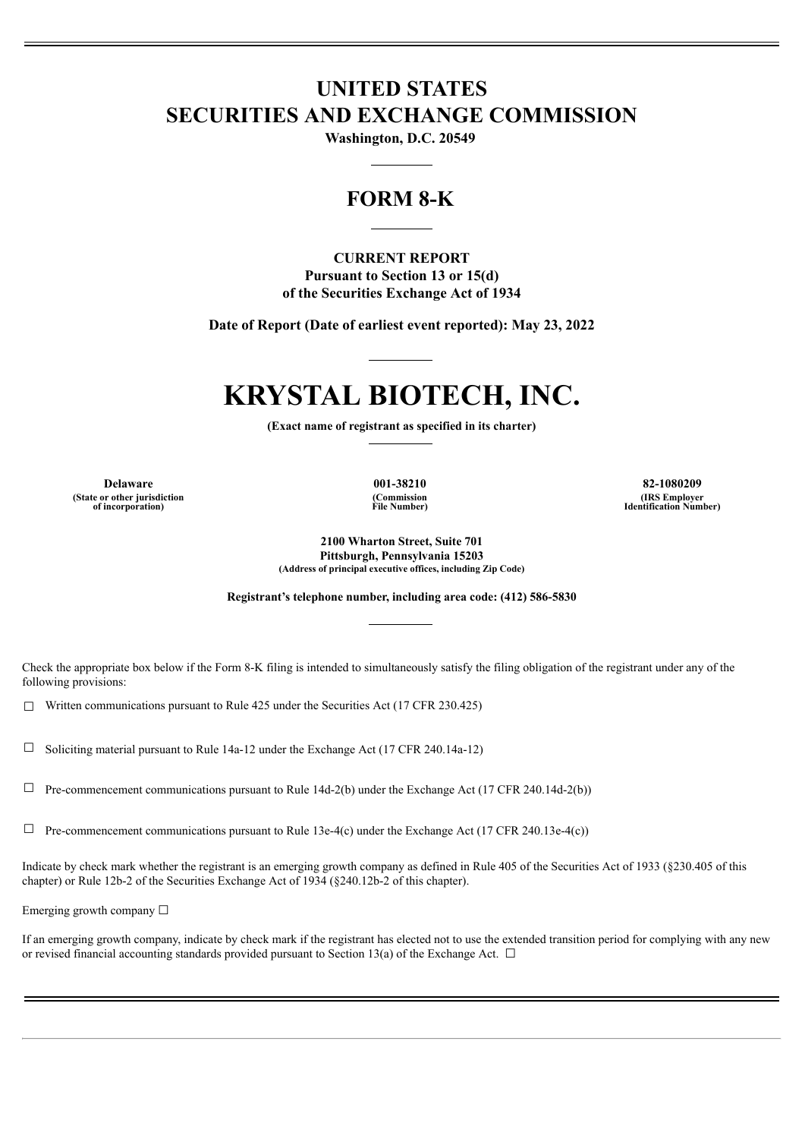## **UNITED STATES SECURITIES AND EXCHANGE COMMISSION**

**Washington, D.C. 20549**

## **FORM 8-K**

### **CURRENT REPORT Pursuant to Section 13 or 15(d)**

**of the Securities Exchange Act of 1934**

**Date of Report (Date of earliest event reported): May 23, 2022**

# **KRYSTAL BIOTECH, INC.**

**(Exact name of registrant as specified in its charter)**

**(State or other jurisdiction of incorporation)**

**(Commission File Number)**

**Delaware 001-38210 82-1080209 (IRS Employer Identification Number)**

> **2100 Wharton Street, Suite 701 Pittsburgh, Pennsylvania 15203 (Address of principal executive offices, including Zip Code)**

**Registrant's telephone number, including area code: (412) 586-5830**

Check the appropriate box below if the Form 8-K filing is intended to simultaneously satisfy the filing obligation of the registrant under any of the following provisions:

 $\Box$  Written communications pursuant to Rule 425 under the Securities Act (17 CFR 230.425)

 $\Box$  Soliciting material pursuant to Rule 14a-12 under the Exchange Act (17 CFR 240.14a-12)

 $\Box$  Pre-commencement communications pursuant to Rule 14d-2(b) under the Exchange Act (17 CFR 240.14d-2(b))

 $\Box$  Pre-commencement communications pursuant to Rule 13e-4(c) under the Exchange Act (17 CFR 240.13e-4(c))

Indicate by check mark whether the registrant is an emerging growth company as defined in Rule 405 of the Securities Act of 1933 (§230.405 of this chapter) or Rule 12b-2 of the Securities Exchange Act of 1934 (§240.12b-2 of this chapter).

Emerging growth company  $\Box$ 

If an emerging growth company, indicate by check mark if the registrant has elected not to use the extended transition period for complying with any new or revised financial accounting standards provided pursuant to Section 13(a) of the Exchange Act.  $\Box$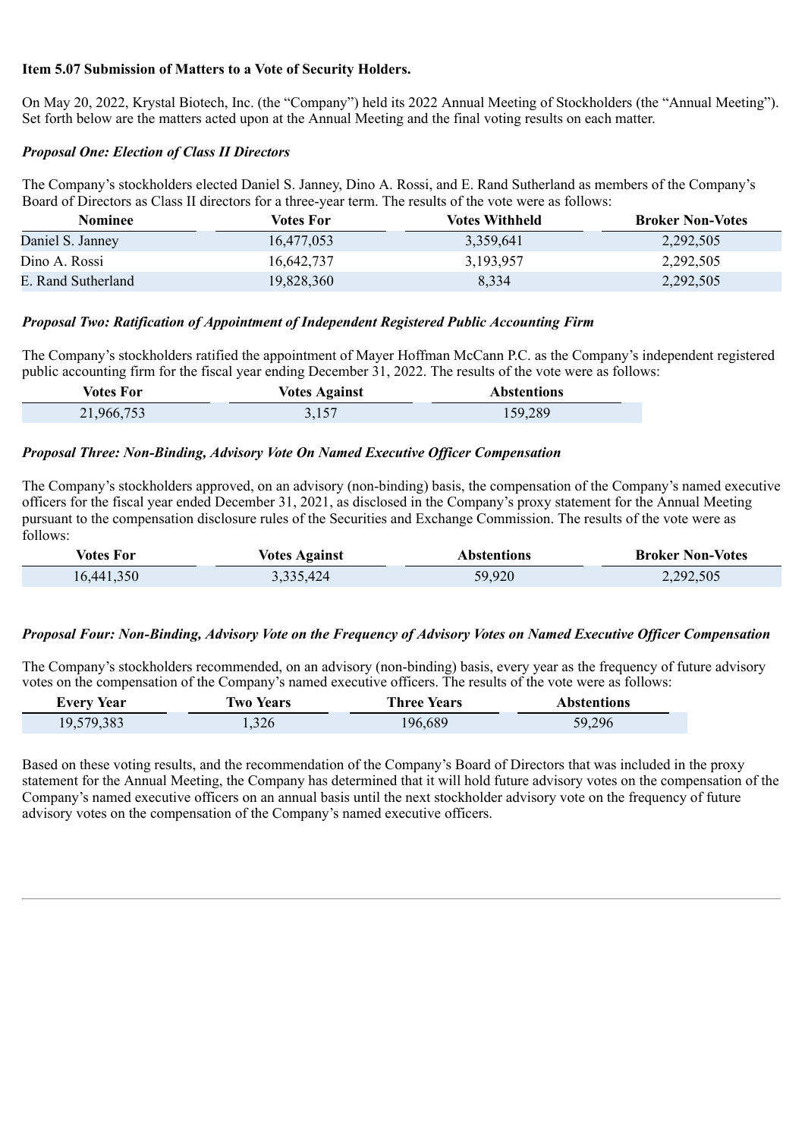#### **Item 5.07 Submission of Matters to a Vote of Security Holders.**

On May 20, 2022, Krystal Biotech, Inc. (the "Company") held its 2022 Annual Meeting of Stockholders (the "Annual Meeting"). Set forth below are the matters acted upon at the Annual Meeting and the final voting results on each matter.

#### *Proposal One: Election of Class II Directors*

The Company's stockholders elected Daniel S. Janney, Dino A. Rossi, and E. Rand Sutherland as members of the Company's Board of Directors as Class II directors for a three-year term. The results of the vote were as follows:

| Nominee            | Votes For  | <b>Votes Withheld</b> | <b>Broker Non-Votes</b> |
|--------------------|------------|-----------------------|-------------------------|
| Daniel S. Janney   | 16,477,053 | 3,359,641             | 2,292,505               |
| Dino A. Rossi      | 16.642.737 | 3,193,957             | 2,292,505               |
| E. Rand Sutherland | 19,828,360 | 8,334                 | 2,292,505               |

#### *Proposal Two: Ratification of Appointment of Independent Registered Public Accounting Firm*

The Company's stockholders ratified the appointment of Mayer Hoffman McCann P.C. as the Company's independent registered public accounting firm for the fiscal year ending December 31, 2022. The results of the vote were as follows:

| Votes For  | <b>Votes Against</b> | <b>Abstentions</b> |
|------------|----------------------|--------------------|
| 21,966,753 | 3,157                | 159,289            |

#### *Proposal Three: Non-Binding, Advisory Vote On Named Executive Officer Compensation*

The Company's stockholders approved, on an advisory (non-binding) basis, the compensation of the Company's named executive officers for the fiscal year ended December 31, 2021, as disclosed in the Company's proxy statement for the Annual Meeting pursuant to the compensation disclosure rules of the Securities and Exchange Commission. The results of the vote were as follows:

| <b>Votes For</b> | <b>Votes Against</b> | Abstentions | <b>Broker Non-Votes</b> |
|------------------|----------------------|-------------|-------------------------|
| 16,441,350       | 3,335,424            | 59,920      | 2,292,505               |

#### *Proposal Four: Non-Binding, Advisory Vote on the Frequency of Advisory Votes on Named Executive Officer Compensation*

The Company's stockholders recommended, on an advisory (non-binding) basis, every year as the frequency of future advisory votes on the compensation of the Company's named executive officers. The results of the vote were as follows:

| <b>Every Year</b> | <b>Two Years</b> | <b>Three Years</b> | <b>Abstentions</b> |
|-------------------|------------------|--------------------|--------------------|
| 19,579,383        | 326              | 196,689            | 59,296             |

Based on these voting results, and the recommendation of the Company's Board of Directors that was included in the proxy statement for the Annual Meeting, the Company has determined that it will hold future advisory votes on the compensation of the Company's named executive officers on an annual basis until the next stockholder advisory vote on the frequency of future advisory votes on the compensation of the Company's named executive officers.